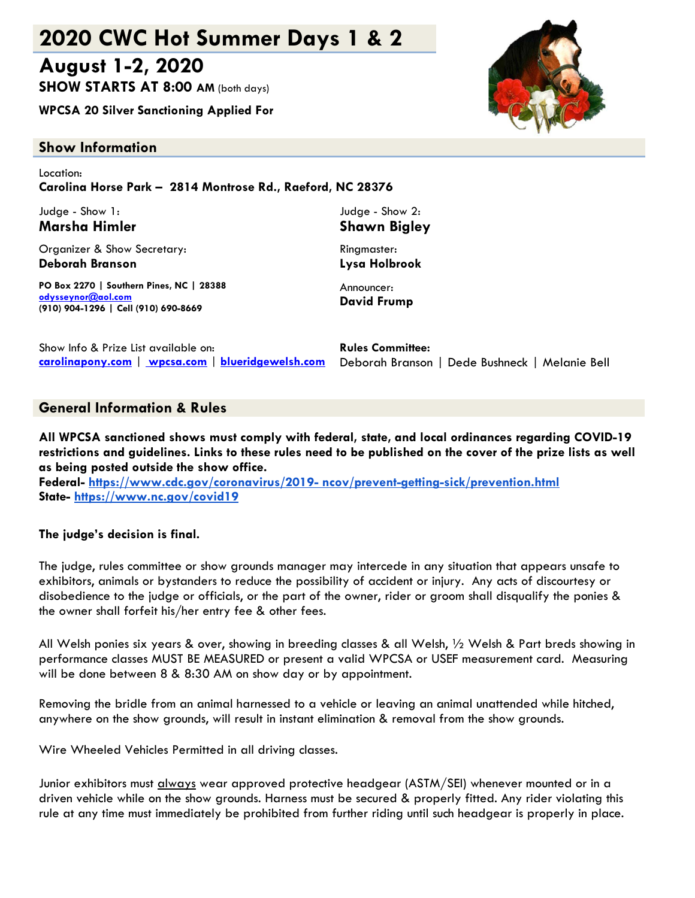# **2020 CWC Hot Summer Days 1 & 2**

# **August 1-2, 2020**

**SHOW STARTS AT 8:00 AM** (both days)

**WPCSA 20 Silver Sanctioning Applied For**

# **Show Information**

Location: **Carolina Horse Park – 2814 Montrose Rd., Raeford, NC 28376**

Judge - Show 1: **Marsha Himler**

Organizer & Show Secretary: **Deborah Branson**

**PO Box 2270 | Southern Pines, NC | 28388 [odysseynor@aol.com](mailto:aggie706@aol.com) (910) 904-1296 | Cell (910) 690-8669**

Judge - Show 2: **Shawn Bigley** Ringmaster:

**Lysa Holbrook** Announcer:

**David Frump**

| Show Info & Prize List available on: | <b>Rules Committee:</b>                                                                          |
|--------------------------------------|--------------------------------------------------------------------------------------------------|
|                                      | carolinapony.com   wpcsa.com   blueridgewelsh.com Deborah Branson   Dede Bushneck   Melanie Bell |

# **General Information & Rules**

**All WPCSA sanctioned shows must comply with federal, state, and local ordinances regarding COVID-19 restrictions and guidelines. Links to these rules need to be published on the cover of the prize lists as well as being posted outside the show office.**

**Federal- https://www.cdc.gov/coronavirus/2019- [ncov/prevent-getting-sick/prevention.html](https://www.cdc.gov/coronavirus/2019-ncov/prevent-getting-sick/prevention.html) State- <https://www.nc.gov/covid19>**

### **The judge's decision is final.**

The judge, rules committee or show grounds manager may intercede in any situation that appears unsafe to exhibitors, animals or bystanders to reduce the possibility of accident or injury. Any acts of discourtesy or disobedience to the judge or officials, or the part of the owner, rider or groom shall disqualify the ponies & the owner shall forfeit his/her entry fee & other fees.

All Welsh ponies six years & over, showing in breeding classes & all Welsh, ½ Welsh & Part breds showing in performance classes MUST BE MEASURED or present a valid WPCSA or USEF measurement card. Measuring will be done between 8 & 8:30 AM on show day or by appointment.

Removing the bridle from an animal harnessed to a vehicle or leaving an animal unattended while hitched, anywhere on the show grounds, will result in instant elimination & removal from the show grounds.

Wire Wheeled Vehicles Permitted in all driving classes.

Junior exhibitors must <u>always</u> wear approved protective headgear (ASTM/SEI) whenever mounted or in a driven vehicle while on the show grounds. Harness must be secured & properly fitted. Any rider violating this rule at any time must immediately be prohibited from further riding until such headgear is properly in place.

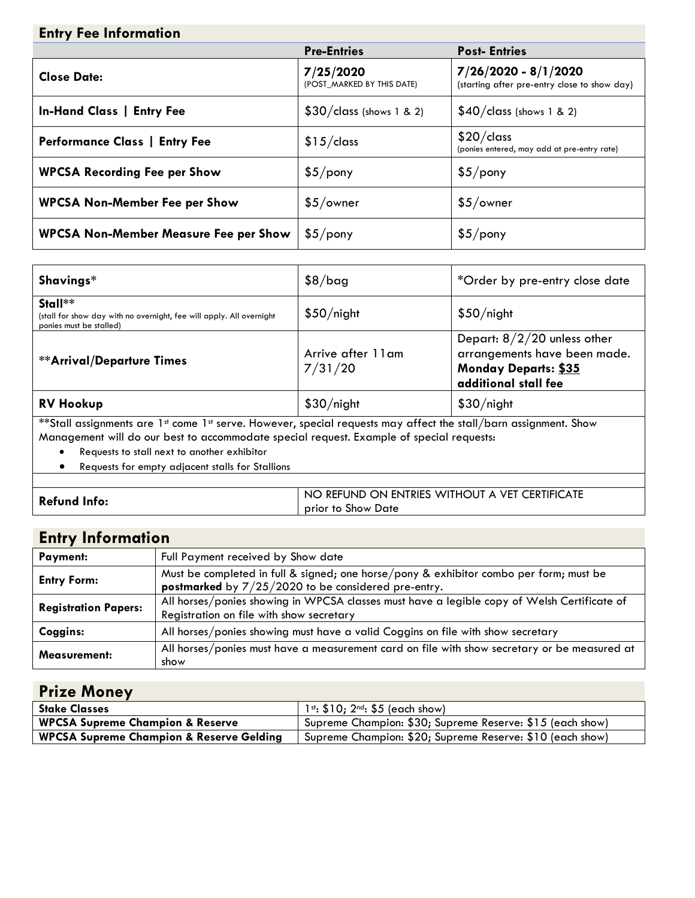| <b>Entry Fee Information</b>                 |                                         |                                                                      |  |  |  |
|----------------------------------------------|-----------------------------------------|----------------------------------------------------------------------|--|--|--|
|                                              | <b>Pre-Entries</b>                      | <b>Post-Entries</b>                                                  |  |  |  |
| <b>Close Date:</b>                           | 7/25/2020<br>(POST MARKED BY THIS DATE) | 7/26/2020 - 8/1/2020<br>(starting after pre-entry close to show day) |  |  |  |
| <b>In-Hand Class   Entry Fee</b>             | $$30/class$ (shows 1 & 2)               | $$40/class$ (shows 1 & 2)                                            |  |  |  |
| <b>Performance Class   Entry Fee</b>         | \$15/class                              | \$20/class<br>(ponies entered, may add at pre-entry rate)            |  |  |  |
| <b>WPCSA Recording Fee per Show</b>          | \$5/pony                                | \$5/pony                                                             |  |  |  |
| <b>WPCSA Non-Member Fee per Show</b>         | $$5/$ owner                             | $$5/$ owner                                                          |  |  |  |
| <b>WPCSA Non-Member Measure Fee per Show</b> | \$5/pony                                | \$5/pony                                                             |  |  |  |

| Shavings*                                                                                                                                                                                                                                                                | $$8/b$ ag                     | *Order by pre-entry close date                                                                                |  |  |  |
|--------------------------------------------------------------------------------------------------------------------------------------------------------------------------------------------------------------------------------------------------------------------------|-------------------------------|---------------------------------------------------------------------------------------------------------------|--|--|--|
| Stall**<br>(stall for show day with no overnight, fee will apply. All overnight<br>ponies must be stalled)                                                                                                                                                               | \$50/night                    | \$50/night                                                                                                    |  |  |  |
| <b>**Arrival/Departure Times</b>                                                                                                                                                                                                                                         | Arrive after 11 am<br>7/31/20 | Depart: $8/2/20$ unless other<br>arrangements have been made.<br>Monday Departs: \$35<br>additional stall fee |  |  |  |
| <b>RV Hookup</b>                                                                                                                                                                                                                                                         | \$30/night                    | \$30/night                                                                                                    |  |  |  |
| **Stall assignments are 1st come 1st serve. However, special requests may affect the stall/barn assignment. Show<br>Management will do our best to accommodate special request. Example of special requests:<br>Requests to stall next to another exhibitor<br>$\bullet$ |                               |                                                                                                               |  |  |  |

• Requests for empty adjacent stalls for Stallions

|                     | ) REFUND ON ENTRIES WITHOUT A VET CERTIFICATE<br><b>NC</b> |
|---------------------|------------------------------------------------------------|
| <b>Refund Info:</b> | prior to Show Date                                         |
|                     |                                                            |

| <b>Entry Information</b>    |                                                                                                                                                 |  |  |
|-----------------------------|-------------------------------------------------------------------------------------------------------------------------------------------------|--|--|
| Payment:                    | Full Payment received by Show date                                                                                                              |  |  |
| <b>Entry Form:</b>          | Must be completed in full & signed; one horse/pony & exhibitor combo per form; must be<br>postmarked by $7/25/2020$ to be considered pre-entry. |  |  |
| <b>Registration Papers:</b> | All horses/ponies showing in WPCSA classes must have a legible copy of Welsh Certificate of<br>Registration on file with show secretary         |  |  |
| Coggins:                    | All horses/ponies showing must have a valid Coggins on file with show secretary                                                                 |  |  |
| <b>Measurement:</b>         | All horses/ponies must have a measurement card on file with show secretary or be measured at<br>show                                            |  |  |

| <b>Prize Money</b>                                  |                                                           |
|-----------------------------------------------------|-----------------------------------------------------------|
| <b>Stake Classes</b>                                | $1^{st}$ : \$10; $2^{nd}$ : \$5 (each show)               |
| <b>WPCSA Supreme Champion &amp; Reserve</b>         | Supreme Champion: \$30; Supreme Reserve: \$15 (each show) |
| <b>WPCSA Supreme Champion &amp; Reserve Gelding</b> | Supreme Champion: \$20; Supreme Reserve: \$10 (each show) |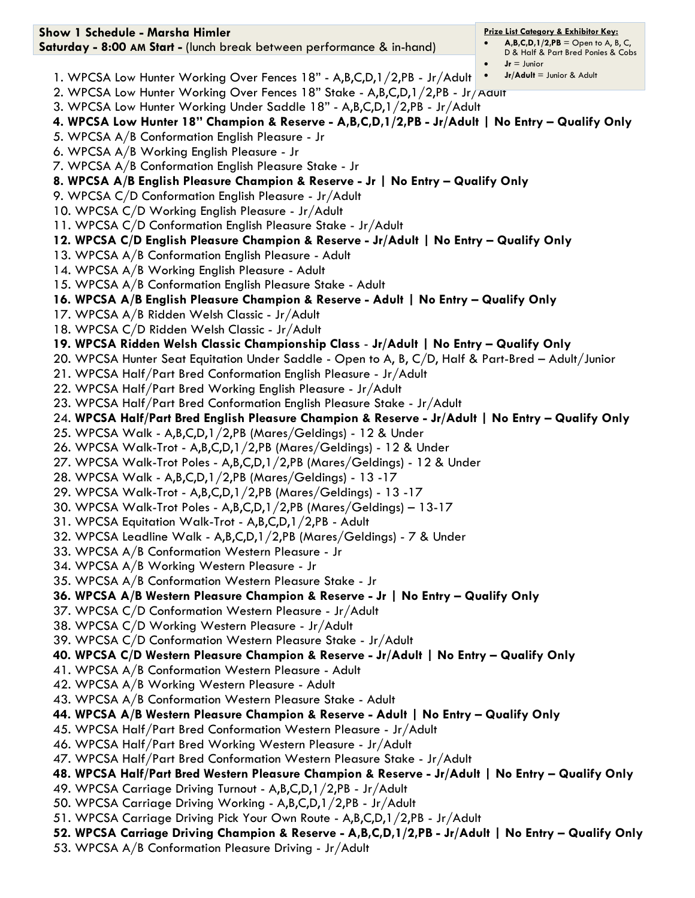| Show 1 Schedule - Marsha Himler                                                                                                                                              | <b>Prize List Category &amp; Exhibitor Key:</b><br>$A, B, C, D, 1/2, PB =$ Open to A, B, C, |
|------------------------------------------------------------------------------------------------------------------------------------------------------------------------------|---------------------------------------------------------------------------------------------|
| Saturday - 8:00 AM Start - (lunch break between performance & in-hand)                                                                                                       | D & Half & Part Bred Ponies & Cobs                                                          |
|                                                                                                                                                                              | $Jr =$ Junior<br>$Jr/Adult =$ Junior & Adult<br>$\bullet$                                   |
| 1. WPCSA Low Hunter Working Over Fences 18" - A,B,C,D,1/2,PB - Jr/Adult                                                                                                      |                                                                                             |
| 2. WPCSA Low Hunter Working Over Fences 18" Stake - A,B,C,D,1/2,PB - Jr/Adult                                                                                                |                                                                                             |
| 3. WPCSA Low Hunter Working Under Saddle 18" - A,B,C,D,1/2,PB - Jr/Adult<br>4. WPCSA Low Hunter 18" Champion & Reserve - A,B,C,D,1/2,PB - Jr/Adult   No Entry - Qualify Only |                                                                                             |
|                                                                                                                                                                              |                                                                                             |
| 5. WPCSA A/B Conformation English Pleasure - Jr<br>6. WPCSA A/B Working English Pleasure - Jr                                                                                |                                                                                             |
| 7. WPCSA A/B Conformation English Pleasure Stake - Jr                                                                                                                        |                                                                                             |
| 8. WPCSA A/B English Pleasure Champion & Reserve - Jr   No Entry - Qualify Only                                                                                              |                                                                                             |
| 9. WPCSA C/D Conformation English Pleasure - Jr/Adult                                                                                                                        |                                                                                             |
| 10. WPCSA C/D Working English Pleasure - Jr/Adult                                                                                                                            |                                                                                             |
| 11. WPCSA C/D Conformation English Pleasure Stake - Jr/Adult                                                                                                                 |                                                                                             |
| 12. WPCSA C/D English Pleasure Champion & Reserve - Jr/Adult   No Entry - Qualify Only                                                                                       |                                                                                             |
| 13. WPCSA A/B Conformation English Pleasure - Adult                                                                                                                          |                                                                                             |
| 14. WPCSA A/B Working English Pleasure - Adult                                                                                                                               |                                                                                             |
| 15. WPCSA A/B Conformation English Pleasure Stake - Adult                                                                                                                    |                                                                                             |
| 16. WPCSA A/B English Pleasure Champion & Reserve - Adult   No Entry - Qualify Only                                                                                          |                                                                                             |
| 17. WPCSA A/B Ridden Welsh Classic - Jr/Adult                                                                                                                                |                                                                                             |
| 18. WPCSA C/D Ridden Welsh Classic - Jr/Adult                                                                                                                                |                                                                                             |
| 19. WPCSA Ridden Welsh Classic Championship Class - Jr/Adult   No Entry - Qualify Only                                                                                       |                                                                                             |
| 20. WPCSA Hunter Seat Equitation Under Saddle - Open to A, B, C/D, Half & Part-Bred - Adult/Junior                                                                           |                                                                                             |
| 21. WPCSA Half/Part Bred Conformation English Pleasure - Jr/Adult                                                                                                            |                                                                                             |
| 22. WPCSA Half/Part Bred Working English Pleasure - Jr/Adult                                                                                                                 |                                                                                             |
| 23. WPCSA Half/Part Bred Conformation English Pleasure Stake - Jr/Adult                                                                                                      |                                                                                             |
| 24. WPCSA Half/Part Bred English Pleasure Champion & Reserve - Jr/Adult   No Entry - Qualify Only                                                                            |                                                                                             |
| 25. WPCSA Walk - A,B,C,D,1/2,PB (Mares/Geldings) - 12 & Under                                                                                                                |                                                                                             |
| 26. WPCSA Walk-Trot - A,B,C,D,1/2,PB (Mares/Geldings) - 12 & Under                                                                                                           |                                                                                             |
| 27. WPCSA Walk-Trot Poles - A,B,C,D,1/2,PB (Mares/Geldings) - 12 & Under                                                                                                     |                                                                                             |
| 28. WPCSA Walk - A,B,C,D,1/2,PB (Mares/Geldings) - 13 -17                                                                                                                    |                                                                                             |
| 29. WPCSA Walk-Trot - A,B,C,D,1/2,PB (Mares/Geldings) - 13 -17                                                                                                               |                                                                                             |
| 30. WPCSA Walk-Trot Poles - A,B,C,D,1/2,PB (Mares/Geldings) - 13-17                                                                                                          |                                                                                             |
| 31. WPCSA Equitation Walk-Trot - A,B,C,D,1/2,PB - Adult                                                                                                                      |                                                                                             |
| 32. WPCSA Leadline Walk - A,B,C,D,1/2,PB (Mares/Geldings) - 7 & Under                                                                                                        |                                                                                             |
| 33. WPCSA A/B Conformation Western Pleasure - Jr                                                                                                                             |                                                                                             |
| 34. WPCSA A/B Working Western Pleasure - Jr                                                                                                                                  |                                                                                             |
| 35. WPCSA A/B Conformation Western Pleasure Stake - Jr                                                                                                                       |                                                                                             |
| 36. WPCSA A/B Western Pleasure Champion & Reserve - Jr   No Entry - Qualify Only                                                                                             |                                                                                             |
| 37. WPCSA C/D Conformation Western Pleasure - Jr/Adult                                                                                                                       |                                                                                             |
| 38. WPCSA C/D Working Western Pleasure - Jr/Adult                                                                                                                            |                                                                                             |
| 39. WPCSA C/D Conformation Western Pleasure Stake - Jr/Adult                                                                                                                 |                                                                                             |
| 40. WPCSA C/D Western Pleasure Champion & Reserve - Jr/Adult   No Entry - Qualify Only                                                                                       |                                                                                             |
| 41. WPCSA A/B Conformation Western Pleasure - Adult                                                                                                                          |                                                                                             |
| 42. WPCSA A/B Working Western Pleasure - Adult                                                                                                                               |                                                                                             |
| 43. WPCSA A/B Conformation Western Pleasure Stake - Adult<br>44. WPCSA A/B Western Pleasure Champion & Reserve - Adult   No Entry - Qualify Only                             |                                                                                             |
| 45. WPCSA Half/Part Bred Conformation Western Pleasure - Jr/Adult                                                                                                            |                                                                                             |
| 46. WPCSA Half/Part Bred Working Western Pleasure - Jr/Adult                                                                                                                 |                                                                                             |
| 47. WPCSA Half/Part Bred Conformation Western Pleasure Stake - Jr/Adult                                                                                                      |                                                                                             |
| 48. WPCSA Half/Part Bred Western Pleasure Champion & Reserve - Jr/Adult   No Entry - Qualify Only                                                                            |                                                                                             |
| 49. WPCSA Carriage Driving Turnout - A,B,C,D,1/2,PB - Jr/Adult                                                                                                               |                                                                                             |
| 50. WPCSA Carriage Driving Working - A,B,C,D,1/2,PB - Jr/Adult                                                                                                               |                                                                                             |
| 51. WPCSA Carriage Driving Pick Your Own Route - A,B,C,D,1/2,PB - Jr/Adult                                                                                                   |                                                                                             |
| 52. WPCSA Carriage Driving Champion & Reserve - A,B,C,D,1/2,PB - Jr/Adult   No Entry - Qualify Only                                                                          |                                                                                             |
| 53. WPCSA A/B Conformation Pleasure Driving - Jr/Adult                                                                                                                       |                                                                                             |
|                                                                                                                                                                              |                                                                                             |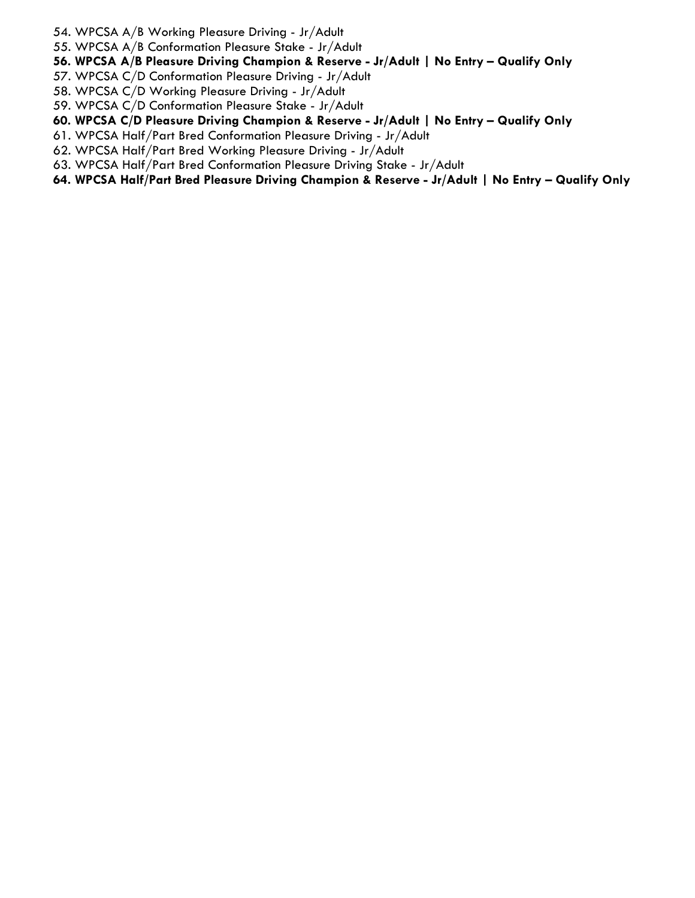- 54. WPCSA A/B Working Pleasure Driving Jr/Adult
- 55. WPCSA A/B Conformation Pleasure Stake Jr/Adult
- **56. WPCSA A/B Pleasure Driving Champion & Reserve - Jr/Adult | No Entry – Qualify Only**
- 57. WPCSA C/D Conformation Pleasure Driving Jr/Adult
- 58. WPCSA C/D Working Pleasure Driving Jr/Adult
- 59. WPCSA C/D Conformation Pleasure Stake Jr/Adult
- **60. WPCSA C/D Pleasure Driving Champion & Reserve - Jr/Adult | No Entry – Qualify Only**
- 61. WPCSA Half/Part Bred Conformation Pleasure Driving Jr/Adult
- 62. WPCSA Half/Part Bred Working Pleasure Driving Jr/Adult
- 63. WPCSA Half/Part Bred Conformation Pleasure Driving Stake Jr/Adult
- **64. WPCSA Half/Part Bred Pleasure Driving Champion & Reserve - Jr/Adult | No Entry – Qualify Only**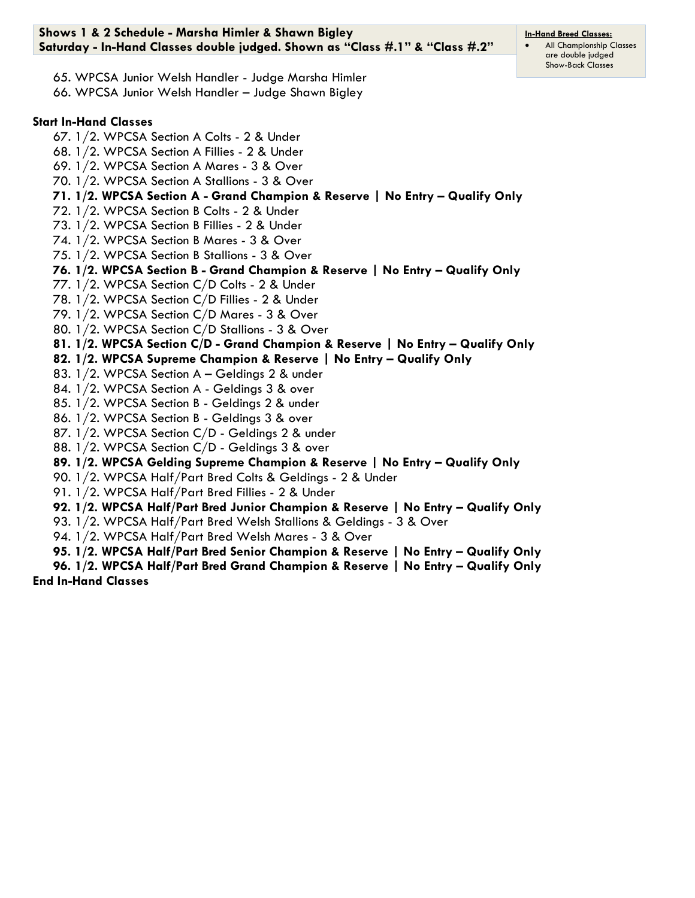65. WPCSA Junior Welsh Handler - Judge Marsha Himler 66. WPCSA Junior Welsh Handler – Judge Shawn Bigley

# **Start In-Hand Classes**

67. 1/2. WPCSA Section A Colts - 2 & Under 68. 1/2. WPCSA Section A Fillies - 2 & Under 69. 1/2. WPCSA Section A Mares - 3 & Over 70. 1/2. WPCSA Section A Stallions - 3 & Over **71. 1/2. WPCSA Section A - Grand Champion & Reserve | No Entry – Qualify Only** 72. 1/2. WPCSA Section B Colts - 2 & Under 73. 1/2. WPCSA Section B Fillies - 2 & Under 74. 1/2. WPCSA Section B Mares - 3 & Over 75. 1/2. WPCSA Section B Stallions - 3 & Over **76. 1/2. WPCSA Section B - Grand Champion & Reserve | No Entry – Qualify Only** 77. 1/2. WPCSA Section C/D Colts - 2 & Under 78. 1/2. WPCSA Section C/D Fillies - 2 & Under 79. 1/2. WPCSA Section C/D Mares - 3 & Over 80. 1/2. WPCSA Section C/D Stallions - 3 & Over **81. 1/2. WPCSA Section C/D - Grand Champion & Reserve | No Entry – Qualify Only 82. 1/2. WPCSA Supreme Champion & Reserve | No Entry – Qualify Only** 83. 1/2. WPCSA Section A – Geldings 2 & under 84. 1/2. WPCSA Section A - Geldings 3 & over 85. 1/2. WPCSA Section B - Geldings 2 & under 86. 1/2. WPCSA Section B - Geldings 3 & over 87. 1/2. WPCSA Section C/D - Geldings 2 & under 88. 1/2. WPCSA Section C/D - Geldings 3 & over **89. 1/2. WPCSA Gelding Supreme Champion & Reserve | No Entry – Qualify Only** 90. 1/2. WPCSA Half/Part Bred Colts & Geldings - 2 & Under 91. 1/2. WPCSA Half/Part Bred Fillies - 2 & Under **92. 1/2. WPCSA Half/Part Bred Junior Champion & Reserve | No Entry – Qualify Only** 93. 1/2. WPCSA Half/Part Bred Welsh Stallions & Geldings - 3 & Over

94. 1/2. WPCSA Half/Part Bred Welsh Mares - 3 & Over

**95. 1/2. WPCSA Half/Part Bred Senior Champion & Reserve | No Entry – Qualify Only**

**96. 1/2. WPCSA Half/Part Bred Grand Champion & Reserve | No Entry – Qualify Only End In-Hand Classes**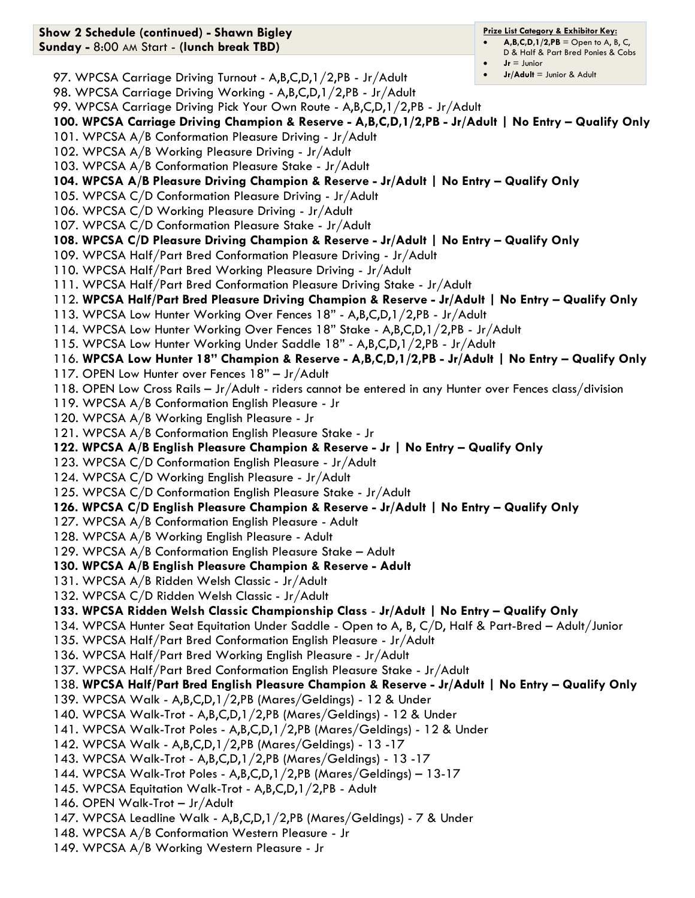#### $A, B, C, D, 1/2, PB =$  Open to A, B, C, D & Half & Part Bred Ponies & Cobs

- $Jr =$  Junior
	- **Jr/Adult** = Junior & Adult

97. WPCSA Carriage Driving Turnout - A,B,C,D,1/2,PB - Jr/Adult

98. WPCSA Carriage Driving Working - A,B,C,D,1/2,PB - Jr/Adult

99. WPCSA Carriage Driving Pick Your Own Route - A,B,C,D,1/2,PB - Jr/Adult

**100. WPCSA Carriage Driving Champion & Reserve - A,B,C,D,1/2,PB - Jr/Adult | No Entry – Qualify Only**

- 101. WPCSA A/B Conformation Pleasure Driving Jr/Adult
- 102. WPCSA A/B Working Pleasure Driving Jr/Adult

**Show 2 Schedule (continued) - Shawn Bigley Sunday -** 8:00 AM Start - **(lunch break TBD)**

- 103. WPCSA A/B Conformation Pleasure Stake Jr/Adult
- **104. WPCSA A/B Pleasure Driving Champion & Reserve - Jr/Adult | No Entry – Qualify Only**
- 105. WPCSA C/D Conformation Pleasure Driving Jr/Adult
- 106. WPCSA C/D Working Pleasure Driving Jr/Adult
- 107. WPCSA C/D Conformation Pleasure Stake Jr/Adult
- **108. WPCSA C/D Pleasure Driving Champion & Reserve - Jr/Adult | No Entry – Qualify Only**

109. WPCSA Half/Part Bred Conformation Pleasure Driving - Jr/Adult

- 110. WPCSA Half/Part Bred Working Pleasure Driving Jr/Adult
- 111. WPCSA Half/Part Bred Conformation Pleasure Driving Stake Jr/Adult
- 112. **WPCSA Half/Part Bred Pleasure Driving Champion & Reserve - Jr/Adult | No Entry – Qualify Only**
- 113. WPCSA Low Hunter Working Over Fences 18" A,B,C,D,1/2,PB Jr/Adult
- 114. WPCSA Low Hunter Working Over Fences 18" Stake A,B,C,D,1/2,PB Jr/Adult
- 115. WPCSA Low Hunter Working Under Saddle 18" A,B,C,D,1/2,PB Jr/Adult
- 116. **WPCSA Low Hunter 18" Champion & Reserve - A,B,C,D,1/2,PB - Jr/Adult | No Entry – Qualify Only**
- 117. OPEN Low Hunter over Fences 18" Jr/Adult
- 118. OPEN Low Cross Rails Jr/Adult riders cannot be entered in any Hunter over Fences class/division
- 119. WPCSA A/B Conformation English Pleasure Jr
- 120. WPCSA A/B Working English Pleasure Jr
- 121. WPCSA A/B Conformation English Pleasure Stake Jr
- **122. WPCSA A/B English Pleasure Champion & Reserve - Jr | No Entry – Qualify Only**
- 123. WPCSA C/D Conformation English Pleasure Jr/Adult
- 124. WPCSA C/D Working English Pleasure Jr/Adult
- 125. WPCSA C/D Conformation English Pleasure Stake Jr/Adult
- **126. WPCSA C/D English Pleasure Champion & Reserve - Jr/Adult | No Entry – Qualify Only**
- 127. WPCSA A/B Conformation English Pleasure Adult
- 128. WPCSA A/B Working English Pleasure Adult
- 129. WPCSA A/B Conformation English Pleasure Stake Adult
- **130. WPCSA A/B English Pleasure Champion & Reserve - Adult**
- 131. WPCSA A/B Ridden Welsh Classic Jr/Adult
- 132. WPCSA C/D Ridden Welsh Classic Jr/Adult

### **133. WPCSA Ridden Welsh Classic Championship Class** - **Jr/Adult | No Entry – Qualify Only**

- 134. WPCSA Hunter Seat Equitation Under Saddle Open to A, B, C/D, Half & Part-Bred Adult/Junior
- 135. WPCSA Half/Part Bred Conformation English Pleasure Jr/Adult
- 136. WPCSA Half/Part Bred Working English Pleasure Jr/Adult
- 137. WPCSA Half/Part Bred Conformation English Pleasure Stake Jr/Adult
- 138. **WPCSA Half/Part Bred English Pleasure Champion & Reserve - Jr/Adult | No Entry – Qualify Only**
- 139. WPCSA Walk A,B,C,D,1/2,PB (Mares/Geldings) 12 & Under
- 140. WPCSA Walk-Trot A,B,C,D,1/2,PB (Mares/Geldings) 12 & Under
- 141. WPCSA Walk-Trot Poles A,B,C,D,1/2,PB (Mares/Geldings) 12 & Under
- 142. WPCSA Walk A,B,C,D,1/2,PB (Mares/Geldings) 13 -17
- 143. WPCSA Walk-Trot A,B,C,D,1/2,PB (Mares/Geldings) 13 -17
- 144. WPCSA Walk-Trot Poles A,B,C,D,1/2,PB (Mares/Geldings) 13-17
- 145. WPCSA Equitation Walk-Trot A,B,C,D,1/2,PB Adult
- 146. OPEN Walk-Trot Jr/Adult
- 147. WPCSA Leadline Walk A,B,C,D,1/2,PB (Mares/Geldings) 7 & Under
- 148. WPCSA A/B Conformation Western Pleasure Jr
- 149. WPCSA A/B Working Western Pleasure Jr

#### **Prize List Category & Exhibitor Key:**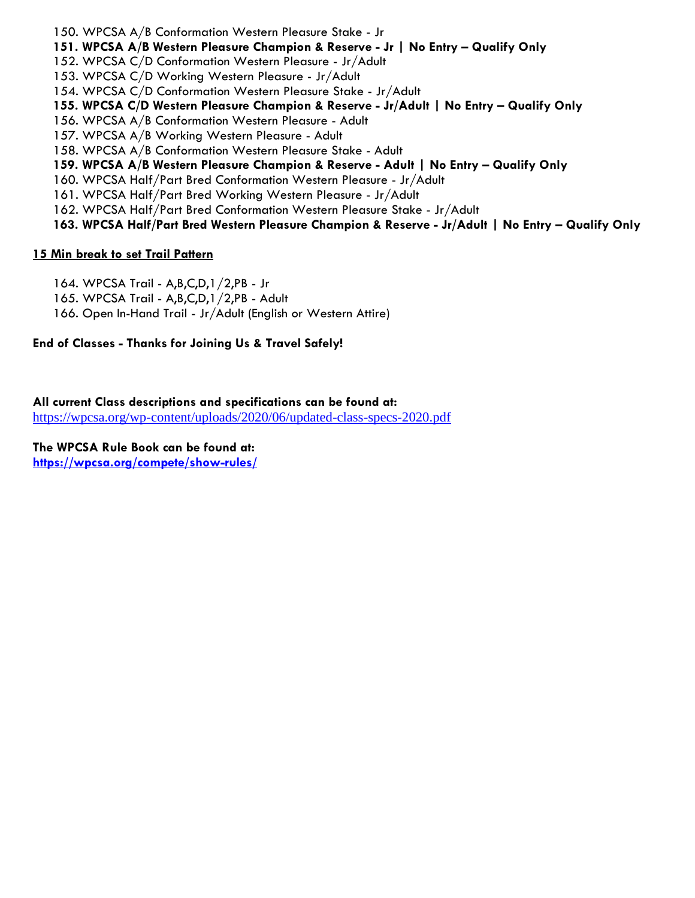150. WPCSA A/B Conformation Western Pleasure Stake - Jr

**151. WPCSA A/B Western Pleasure Champion & Reserve - Jr | No Entry – Qualify Only**

152. WPCSA C/D Conformation Western Pleasure - Jr/Adult

153. WPCSA C/D Working Western Pleasure - Jr/Adult

154. WPCSA C/D Conformation Western Pleasure Stake - Jr/Adult

**155. WPCSA C/D Western Pleasure Champion & Reserve - Jr/Adult | No Entry – Qualify Only**

156. WPCSA A/B Conformation Western Pleasure - Adult

157. WPCSA A/B Working Western Pleasure - Adult

158. WPCSA A/B Conformation Western Pleasure Stake - Adult

**159. WPCSA A/B Western Pleasure Champion & Reserve - Adult | No Entry – Qualify Only**

160. WPCSA Half/Part Bred Conformation Western Pleasure - Jr/Adult

161. WPCSA Half/Part Bred Working Western Pleasure - Jr/Adult

162. WPCSA Half/Part Bred Conformation Western Pleasure Stake - Jr/Adult

**163. WPCSA Half/Part Bred Western Pleasure Champion & Reserve - Jr/Adult | No Entry – Qualify Only**

### **15 Min break to set Trail Pattern**

164. WPCSA Trail - A,B,C,D,1/2,PB - Jr

165. WPCSA Trail - A,B,C,D,1/2,PB - Adult

166. Open In-Hand Trail - Jr/Adult (English or Western Attire)

# **End of Classes - Thanks for Joining Us & Travel Safely!**

**All current Class descriptions and specifications can be found at:**  <https://wpcsa.org/wp-content/uploads/2020/06/updated-class-specs-2020.pdf>

**The WPCSA Rule Book can be found at: <https://wpcsa.org/compete/show-rules/>**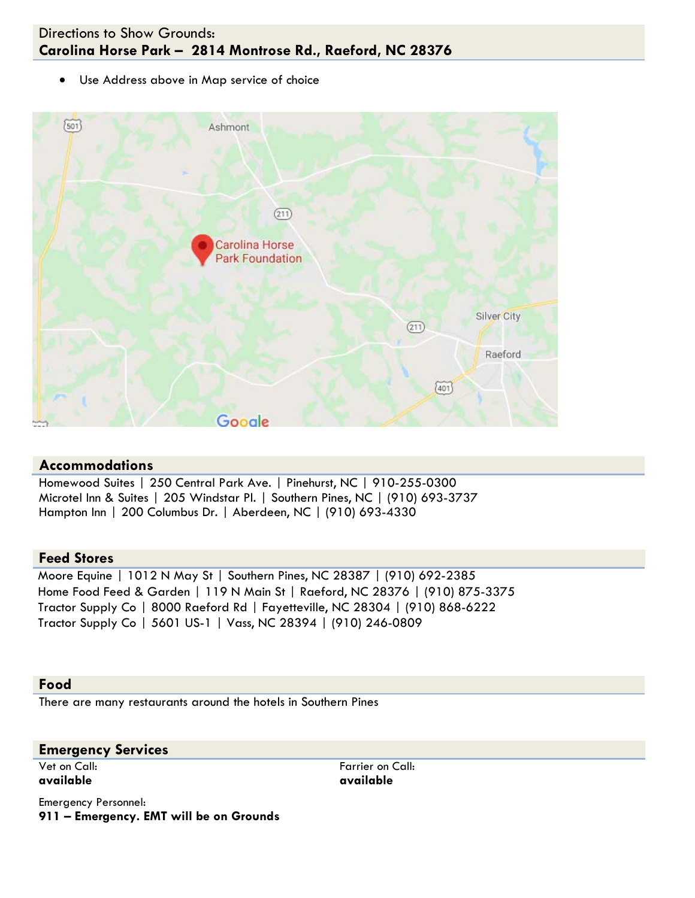# Directions to Show Grounds: **Carolina Horse Park – 2814 Montrose Rd., Raeford, NC 28376**

• Use Address above in Map service of choice



### **Accommodations**

Homewood Suites | 250 Central Park Ave. | Pinehurst, NC | 910-255-0300 Microtel Inn & Suites | 205 Windstar Pl. | Southern Pines, NC | (910) 693-3737 Hampton Inn | 200 Columbus Dr. | Aberdeen, NC | (910) 693-4330

#### **Feed Stores**

Moore Equine | 1012 N May St | Southern Pines, NC 28387 | (910) 692-2385 Home Food Feed & Garden | 119 N Main St | Raeford, NC 28376 | (910) 875-3375 Tractor Supply Co | 8000 Raeford Rd | Fayetteville, NC 28304 | (910) 868-6222 Tractor Supply Co | 5601 US-1 | Vass, NC 28394 | (910) 246-0809

#### **Food**

There are many restaurants around the hotels in Southern Pines

#### **Emergency Services**

Vet on Call: **available**

Farrier on Call: **available**

Emergency Personnel: **911 – Emergency. EMT will be on Grounds**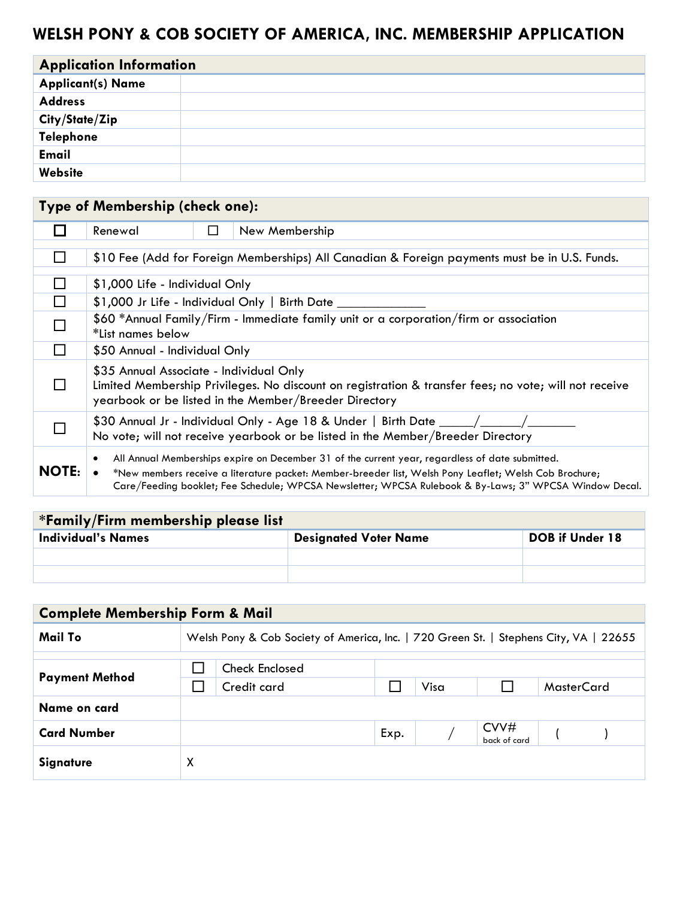# **WELSH PONY & COB SOCIETY OF AMERICA, INC. MEMBERSHIP APPLICATION**

| <b>Application Information</b> |  |  |  |  |
|--------------------------------|--|--|--|--|
| <b>Applicant(s) Name</b>       |  |  |  |  |
| <b>Address</b>                 |  |  |  |  |
| City/State/Zip                 |  |  |  |  |
| Telephone                      |  |  |  |  |
| <b>Email</b>                   |  |  |  |  |
| Website                        |  |  |  |  |

|              | Type of Membership (check one):                                                                                                                                                                                                                                                                                     |  |  |  |
|--------------|---------------------------------------------------------------------------------------------------------------------------------------------------------------------------------------------------------------------------------------------------------------------------------------------------------------------|--|--|--|
|              | New Membership<br>Renewal<br>ப                                                                                                                                                                                                                                                                                      |  |  |  |
|              | \$10 Fee (Add for Foreign Memberships) All Canadian & Foreign payments must be in U.S. Funds.                                                                                                                                                                                                                       |  |  |  |
|              | \$1,000 Life - Individual Only                                                                                                                                                                                                                                                                                      |  |  |  |
|              | \$1,000 Jr Life - Individual Only   Birth Date                                                                                                                                                                                                                                                                      |  |  |  |
|              | \$60 *Annual Family/Firm - Immediate family unit or a corporation/firm or association<br>*List names below                                                                                                                                                                                                          |  |  |  |
|              | \$50 Annual - Individual Only                                                                                                                                                                                                                                                                                       |  |  |  |
|              | \$35 Annual Associate - Individual Only<br>Limited Membership Privileges. No discount on registration & transfer fees; no vote; will not receive<br>yearbook or be listed in the Member/Breeder Directory                                                                                                           |  |  |  |
|              | \$30 Annual Jr - Individual Only - Age 18 & Under   Birth Date $\_\_\_\_\_\_\_\_\_\_\_\_\_\_\_\_\_\_$<br>No vote; will not receive yearbook or be listed in the Member/Breeder Directory                                                                                                                            |  |  |  |
| <b>NOTE:</b> | All Annual Memberships expire on December 31 of the current year, regardless of date submitted.<br>*New members receive a literature packet: Member-breeder list, Welsh Pony Leaflet; Welsh Cob Brochure;<br>Care/Feeding booklet; Fee Schedule; WPCSA Newsletter; WPCSA Rulebook & By-Laws; 3" WPCSA Window Decal. |  |  |  |

| *Family/Firm membership please list |                              |                        |  |  |  |
|-------------------------------------|------------------------------|------------------------|--|--|--|
| <b>Individual's Names</b>           | <b>Designated Voter Name</b> | <b>DOB</b> if Under 18 |  |  |  |
|                                     |                              |                        |  |  |  |
|                                     |                              |                        |  |  |  |

| <b>Complete Membership Form &amp; Mail</b> |                                                                                       |             |      |      |                                |                   |  |
|--------------------------------------------|---------------------------------------------------------------------------------------|-------------|------|------|--------------------------------|-------------------|--|
| Mail To                                    | Welsh Pony & Cob Society of America, Inc.   720 Green St.   Stephens City, VA   22655 |             |      |      |                                |                   |  |
| <b>Check Enclosed</b>                      |                                                                                       |             |      |      |                                |                   |  |
| <b>Payment Method</b>                      |                                                                                       | Credit card |      | Visa |                                | <b>MasterCard</b> |  |
| Name on card                               |                                                                                       |             |      |      |                                |                   |  |
| <b>Card Number</b>                         |                                                                                       |             | Exp. |      | $\text{CVV}\#$<br>back of card |                   |  |
| <b>Signature</b>                           | X                                                                                     |             |      |      |                                |                   |  |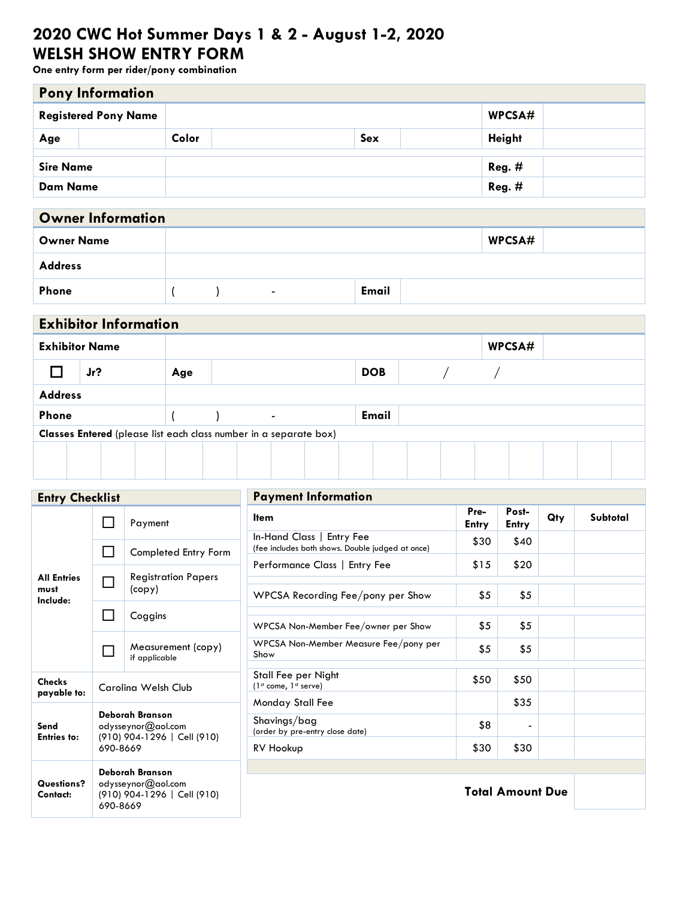# **2020 CWC Hot Summer Days 1 & 2 - August 1-2, 2020 WELSH SHOW ENTRY FORM**

**One entry form per rider/pony combination**

| <b>Pony Information</b>               |                             |       |  |               |  |  |  |
|---------------------------------------|-----------------------------|-------|--|---------------|--|--|--|
| WPCSA#<br><b>Registered Pony Name</b> |                             |       |  |               |  |  |  |
| Age                                   |                             | Color |  | <b>Height</b> |  |  |  |
|                                       |                             |       |  |               |  |  |  |
| $Reg.$ #<br><b>Sire Name</b>          |                             |       |  |               |  |  |  |
|                                       | $Reg.$ #<br><b>Dam Name</b> |       |  |               |  |  |  |

| <b>Owner Information</b> |  |  |                          |              |        |  |  |  |  |
|--------------------------|--|--|--------------------------|--------------|--------|--|--|--|--|
| <b>Owner Name</b>        |  |  |                          |              | WPCSA# |  |  |  |  |
| <b>Address</b>           |  |  |                          |              |        |  |  |  |  |
| Phone                    |  |  | $\overline{\phantom{0}}$ | <b>Email</b> |        |  |  |  |  |

| <b>Exhibitor Information</b>                                      |        |  |  |     |  |  |                |  |            |  |  |        |  |  |  |
|-------------------------------------------------------------------|--------|--|--|-----|--|--|----------------|--|------------|--|--|--------|--|--|--|
| <b>Exhibitor Name</b>                                             |        |  |  |     |  |  |                |  |            |  |  | WPCSA# |  |  |  |
|                                                                   | $Jr$ ? |  |  | Age |  |  |                |  | <b>DOB</b> |  |  |        |  |  |  |
| <b>Address</b>                                                    |        |  |  |     |  |  |                |  |            |  |  |        |  |  |  |
| Phone                                                             |        |  |  |     |  |  | $\blacksquare$ |  | Email      |  |  |        |  |  |  |
| Classes Entered (please list each class number in a separate box) |        |  |  |     |  |  |                |  |            |  |  |        |  |  |  |
|                                                                   |        |  |  |     |  |  |                |  |            |  |  |        |  |  |  |

| <b>Entry Checklist</b>                 |                             |                                                                      | <b>Payment Information</b>                                                    |                         |                |     |          |  |  |
|----------------------------------------|-----------------------------|----------------------------------------------------------------------|-------------------------------------------------------------------------------|-------------------------|----------------|-----|----------|--|--|
|                                        |                             | Payment                                                              | <b>Item</b>                                                                   | Pre-<br><b>Entry</b>    | Post-<br>Entry | Qty | Subtotal |  |  |
| <b>All Entries</b><br>must<br>Include: | $\mathcal{L}_{\mathcal{A}}$ | Completed Entry Form                                                 | In-Hand Class   Entry Fee<br>(fee includes both shows. Double judged at once) | \$30                    | \$40           |     |          |  |  |
|                                        |                             |                                                                      | Performance Class   Entry Fee                                                 | \$15                    | \$20           |     |          |  |  |
|                                        | $\Box$                      | <b>Registration Papers</b><br>$\left(\text{copy}\right)$             | WPCSA Recording Fee/pony per Show                                             | \$5                     | \$5            |     |          |  |  |
|                                        | $\mathsf{L}$                | Coggins                                                              | WPCSA Non-Member Fee/owner per Show                                           | \$5                     | \$5            |     |          |  |  |
|                                        |                             | Measurement (copy)<br>if applicable                                  | WPCSA Non-Member Measure Fee/pony per<br>Show                                 | \$5                     | \$5            |     |          |  |  |
| <b>Checks</b><br>payable to:           |                             | Carolina Welsh Club                                                  | Stall Fee per Night<br>$(1st come, 1st serve)$                                | \$50                    | \$50           |     |          |  |  |
|                                        |                             |                                                                      | Monday Stall Fee                                                              |                         | \$35           |     |          |  |  |
| Send<br><b>Entries to:</b>             |                             | Deborah Branson<br>odysseynor@aol.com<br>(910) 904-1296   Cell (910) | Shavings/bag<br>(order by pre-entry close date)                               | \$8                     |                |     |          |  |  |
|                                        | 690-8669                    |                                                                      | RV Hookup                                                                     | \$30                    | \$30           |     |          |  |  |
|                                        |                             | Deborah Branson                                                      |                                                                               |                         |                |     |          |  |  |
| Questions?<br>Contact:                 | 690-8669                    | odysseynor@aol.com<br>(910) 904-1296   Cell (910)                    |                                                                               | <b>Total Amount Due</b> |                |     |          |  |  |